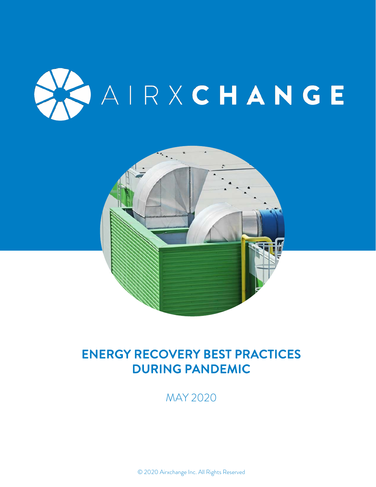



# ENERGY RECOVERY BEST PRACTICES DURING PANDEMIC

MAY 2020

© 2020 Airxchange Inc. All Rights Reserved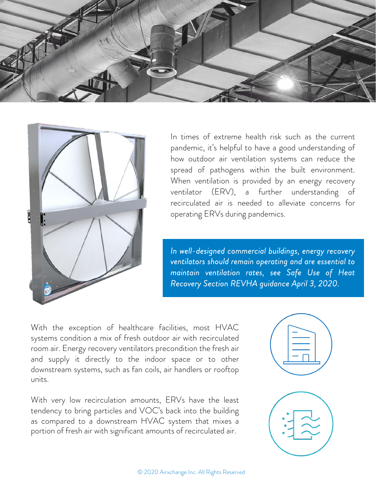



In times of extreme health risk such as the current pandemic, it's helpful to have a good understanding of how outdoor air ventilation systems can reduce the spread of pathogens within the built environment. When ventilation is provided by an energy recovery ventilator (ERV), a further understanding of recirculated air is needed to alleviate concerns for operating ERVs during pandemics.

*In well-designed commercial buildings, energy recovery ventilators should remain operating and are essential to maintain ventilation rates, see Safe Use of Heat Recovery Section REVHA guidance April 3, 2020.*

With the exception of healthcare facilities, most HVAC systems condition a mix of fresh outdoor air with recirculated room air. Energy recovery ventilators precondition the fresh air and supply it directly to the indoor space or to other downstream systems, such as fan coils, air handlers or rooftop units.

With very low recirculation amounts, ERVs have the least tendency to bring particles and VOC's back into the building as compared to a downstream HVAC system that mixes a portion of fresh air with significant amounts of recirculated air.

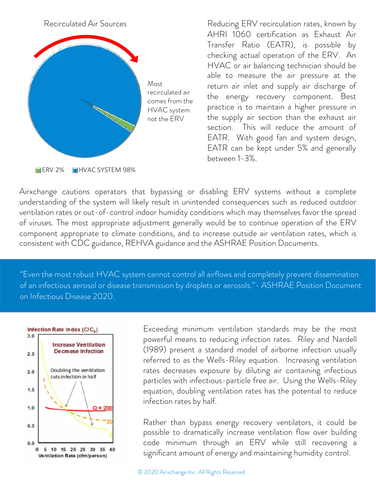

Reducing ERV recirculation rates, known by AHRI 1060 certification as Exhaust Air Transfer Ratio (EATR), is possible by checking actual operation of the ERV. An HVAC or air balancing technician should be able to measure the air pressure at the return air inlet and supply air discharge of the energy recovery component. Best practice is to maintain a higher pressure in the supply air section than the exhaust air section. This will reduce the amount of EATR. With good fan and system design, EATR can be kept under 5% and generally between 1-3%.

Airxchange cautions operators that bypassing or disabling ERV systems without a complete understanding of the system will likely result in unintended consequences such as reduced outdoor ventilation rates or out-of-control indoor humidity conditions which may themselves favor the spread of viruses. The most appropriate adjustment generally would be to continue operation of the ERV component appropriate to climate conditions, and to increase outside air ventilation rates, which is consistent with CDC guidance, REHVA guidance and the ASHRAE Position Documents.

"Even the most robust HVAC system cannot control all airflows and completely prevent dissemination of an infectious aerosol or disease transmission by droplets or aerosols."- ASHRAE Position Document on Infectious Disease 2020.



Exceeding minimum ventilation standards may be the most powerful means to reducing infection rates. Riley and Nardell (1989) present a standard model of airborne infection usually referred to as the Wells-Riley equation. Increasing ventilation rates decreases exposure by diluting air containing infectious particles with infectious-particle free air. Using the Wells-Riley equation, doubling ventilation rates has the potential to reduce infection rates by half.

Rather than bypass energy recovery ventilators, it could be possible to dramatically increase ventilation flow over building code minimum through an ERV while still recovering a significant amount of energy and maintaining humidity control.